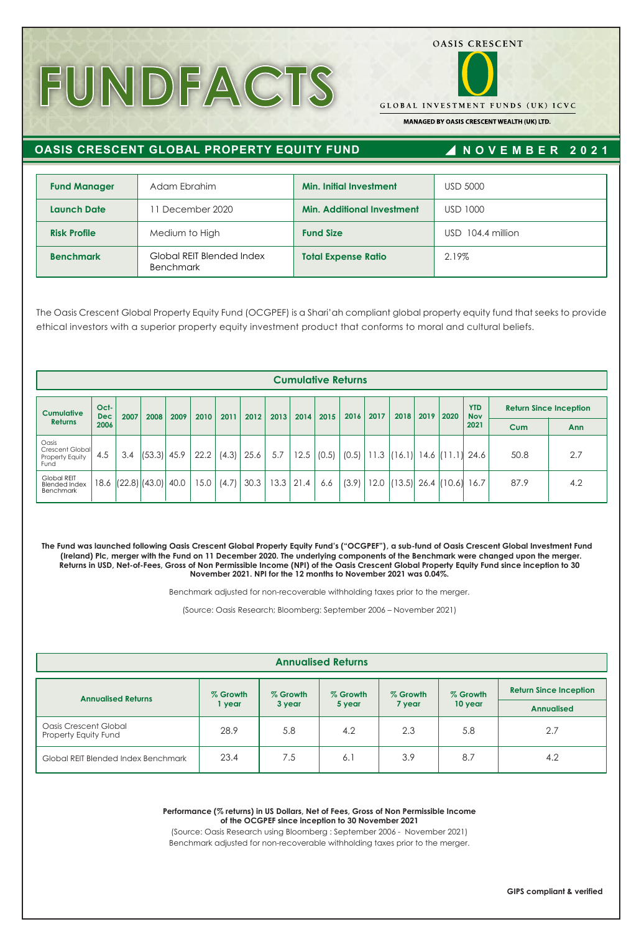# **FUNDFACTS**

**GLOBAL INVESTMENT FUNDS (UK) ICVC** 

**OASIS CRESCENT** 

MANAGED BY OASIS CRESCENT WEALTH (UK) LTD.

## **OASIS CRESCENT GLOBAL PROPERTY EQUITY FUND**

# **N OVE M B E R 202 1**

| <b>Fund Manager</b> | Adam Ebrahim                                  | <b>Min. Initial Investment</b>    | <b>USD 5000</b>   |
|---------------------|-----------------------------------------------|-----------------------------------|-------------------|
| <b>Launch Date</b>  | 1 December 2020                               | <b>Min. Additional Investment</b> | USD 1000          |
| <b>Risk Profile</b> | Medium to High                                | <b>Fund Size</b>                  | USD 104.4 million |
| <b>Benchmark</b>    | Global REIT Blended Index<br><b>Benchmark</b> | <b>Total Expense Ratio</b>        | 2.19%             |

The Oasis Crescent Global Property Equity Fund (OCGPEF) is a Shari'ah compliant global property equity fund that seeks to provide ethical investors with a superior property equity investment product that conforms to moral and cultural beliefs.

|                                                         |                    |      |                   |      |      |       |      |      |               | <b>Cumulative Returns</b> |       |      |        |      |                        |                          |                               |     |
|---------------------------------------------------------|--------------------|------|-------------------|------|------|-------|------|------|---------------|---------------------------|-------|------|--------|------|------------------------|--------------------------|-------------------------------|-----|
| <b>Cumulative</b>                                       | Oct-<br><b>Dec</b> | 2007 | 2008              | 2009 | 2010 | 2011  | 2012 | 2013 | 2014          | 2015                      | 2016  | 2017 | 2018   | 2019 | 2020                   | <b>YTD</b><br><b>Nov</b> | <b>Return Since Inception</b> |     |
| <b>Returns</b>                                          | 2006               |      |                   |      |      |       |      |      |               |                           |       |      |        |      |                        | 2021                     | Cum                           | Ann |
| Oasis<br>Crescent Global<br>Property Equity<br>Fund     | 4.5                | 3.4  | $(53.3)$ 45.9     |      | 22.2 | (4.3) | 25.6 | 5.7  | 12.5          | (0.5)                     | (0.5) | 11.3 | (16.1) |      | $14.6$ (11.1)          | 24.6                     | 50.8                          | 2.7 |
| <b>Global REIT</b><br><b>Blended Index</b><br>Benchmark | 18.6               |      | $(22.8)$ $(43.0)$ | 40.0 | 15.0 | (4.7) | 30.3 |      | $13.3$   21.4 | 6.6                       | (3.9) | 12.0 |        |      | $(13.5)$ 26.4 $(10.6)$ | 16.7                     | 87.9                          | 4.2 |

**The Fund was launched following Oasis Crescent Global Property Equity Fund's ("OCGPEF"), a sub-fund of Oasis Crescent Global Investment Fund (Ireland) Plc, merger with the Fund on 11 December 2020. The underlying components of the Benchmark were changed upon the merger. Returns in USD, Net-of-Fees, Gross of Non Permissible Income (NPI) of the Oasis Crescent Global Property Equity Fund since inception to 30 November 2021. NPI for the 12 months to November 2021 was 0.04%.**

Benchmark adjusted for non-recoverable withholding taxes prior to the merger.

(Source: Oasis Research; Bloomberg: September 2006 – November 2021)

| <b>Annualised Returns</b>                     |          |          |          |          |          |                               |  |  |
|-----------------------------------------------|----------|----------|----------|----------|----------|-------------------------------|--|--|
| <b>Annualised Returns</b>                     | % Growth | % Growth | % Growth | % Growth | % Growth | <b>Return Since Inception</b> |  |  |
|                                               | year     | 3 year   | 5 year   | 7 year   | 10 year  | <b>Annualised</b>             |  |  |
| Oasis Crescent Global<br>Property Equity Fund | 28.9     | 5.8      | 4.2      | 2.3      | 5.8      | 2.7                           |  |  |
| Global REIT Blended Index Benchmark           | 23.4     | 7.5      | 6.1      | 3.9      | 8.7      | 4.2                           |  |  |

**Performance (% returns) in US Dollars, Net of Fees, Gross of Non Permissible Income of the OCGPEF since inception to 30 November 2021**

(Source: Oasis Research using Bloomberg : September 2006 - November 2021) Benchmark adjusted for non-recoverable withholding taxes prior to the merger.